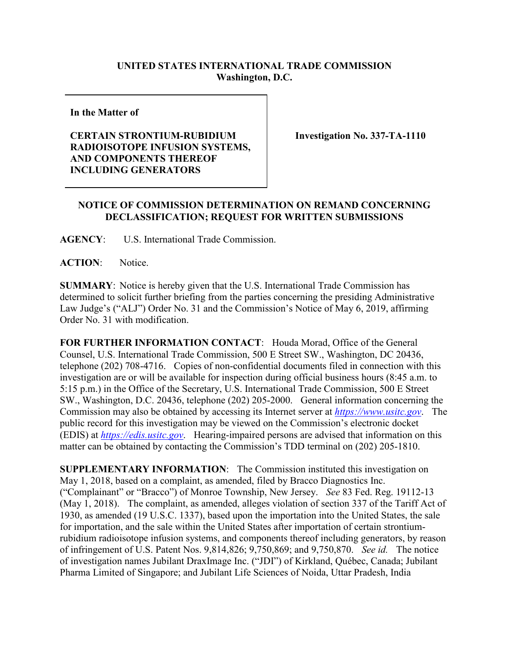## **UNITED STATES INTERNATIONAL TRADE COMMISSION Washington, D.C.**

**In the Matter of**

## **CERTAIN STRONTIUM-RUBIDIUM RADIOISOTOPE INFUSION SYSTEMS, AND COMPONENTS THEREOF INCLUDING GENERATORS**

**Investigation No. 337-TA-1110**

## **NOTICE OF COMMISSION DETERMINATION ON REMAND CONCERNING DECLASSIFICATION; REQUEST FOR WRITTEN SUBMISSIONS**

**AGENCY**: U.S. International Trade Commission.

**ACTION**: Notice.

**SUMMARY**: Notice is hereby given that the U.S. International Trade Commission has determined to solicit further briefing from the parties concerning the presiding Administrative Law Judge's ("ALJ") Order No. 31 and the Commission's Notice of May 6, 2019, affirming Order No. 31 with modification.

**FOR FURTHER INFORMATION CONTACT**: Houda Morad, Office of the General Counsel, U.S. International Trade Commission, 500 E Street SW., Washington, DC 20436, telephone (202) 708-4716. Copies of non-confidential documents filed in connection with this investigation are or will be available for inspection during official business hours (8:45 a.m. to 5:15 p.m.) in the Office of the Secretary, U.S. International Trade Commission, 500 E Street SW., Washington, D.C. 20436, telephone (202) 205-2000. General information concerning the Commission may also be obtained by accessing its Internet server at *[https://www.usitc.gov](https://www.usitc.gov/)*. The public record for this investigation may be viewed on the Commission's electronic docket (EDIS) at *[https://edis.usitc.gov](http://edis.usitc.gov/)*. Hearing-impaired persons are advised that information on this matter can be obtained by contacting the Commission's TDD terminal on (202) 205-1810.

**SUPPLEMENTARY INFORMATION**: The Commission instituted this investigation on May 1, 2018, based on a complaint, as amended, filed by Bracco Diagnostics Inc. ("Complainant" or "Bracco") of Monroe Township, New Jersey. *See* 83 Fed. Reg. 19112-13 (May 1, 2018). The complaint, as amended, alleges violation of section 337 of the Tariff Act of 1930, as amended (19 U.S.C. 1337), based upon the importation into the United States, the sale for importation, and the sale within the United States after importation of certain strontiumrubidium radioisotope infusion systems, and components thereof including generators, by reason of infringement of U.S. Patent Nos. 9,814,826; 9,750,869; and 9,750,870. *See id.* The notice of investigation names Jubilant DraxImage Inc. ("JDI") of Kirkland, Québec, Canada; Jubilant Pharma Limited of Singapore; and Jubilant Life Sciences of Noida, Uttar Pradesh, India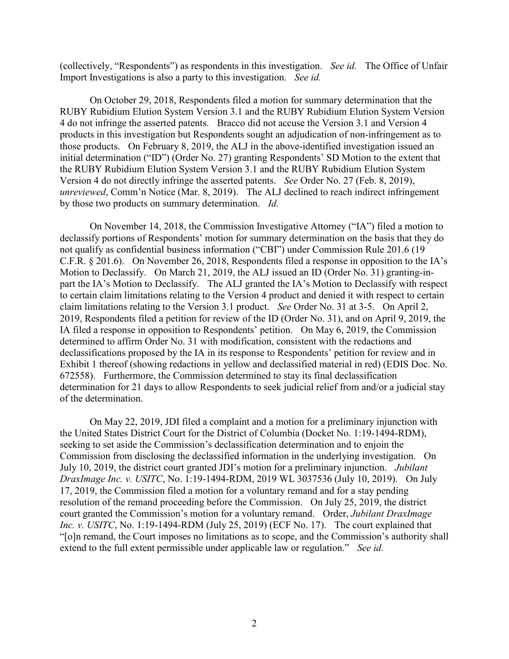(collectively, "Respondents") as respondents in this investigation. *See id.* The Office of Unfair Import Investigations is also a party to this investigation. *See id.* 

On October 29, 2018, Respondents filed a motion for summary determination that the RUBY Rubidium Elution System Version 3.1 and the RUBY Rubidium Elution System Version 4 do not infringe the asserted patents. Bracco did not accuse the Version 3.1 and Version 4 products in this investigation but Respondents sought an adjudication of non-infringement as to those products. On February 8, 2019, the ALJ in the above-identified investigation issued an initial determination ("ID") (Order No. 27) granting Respondents' SD Motion to the extent that the RUBY Rubidium Elution System Version 3.1 and the RUBY Rubidium Elution System Version 4 do not directly infringe the asserted patents. *See* Order No. 27 (Feb. 8, 2019), *unreviewed*, Comm'n Notice (Mar. 8, 2019). The ALJ declined to reach indirect infringement by those two products on summary determination. *Id.*

On November 14, 2018, the Commission Investigative Attorney ("IA") filed a motion to declassify portions of Respondents' motion for summary determination on the basis that they do not qualify as confidential business information ("CBI") under Commission Rule 201.6 (19 C.F.R. § 201.6). On November 26, 2018, Respondents filed a response in opposition to the IA's Motion to Declassify. On March 21, 2019, the ALJ issued an ID (Order No. 31) granting-inpart the IA's Motion to Declassify. The ALJ granted the IA's Motion to Declassify with respect to certain claim limitations relating to the Version 4 product and denied it with respect to certain claim limitations relating to the Version 3.1 product. *See* Order No. 31 at 3-5. On April 2, 2019, Respondents filed a petition for review of the ID (Order No. 31), and on April 9, 2019, the IA filed a response in opposition to Respondents' petition.On May 6, 2019, the Commission determined to affirm Order No. 31 with modification, consistent with the redactions and declassifications proposed by the IA in its response to Respondents' petition for review and in Exhibit 1 thereof (showing redactions in yellow and declassified material in red) (EDIS Doc. No. 672558). Furthermore, the Commission determined to stay its final declassification determination for 21 days to allow Respondents to seek judicial relief from and/or a judicial stay of the determination.

On May 22, 2019, JDI filed a complaint and a motion for a preliminary injunction with the United States District Court for the District of Columbia (Docket No. 1:19-1494-RDM), seeking to set aside the Commission's declassification determination and to enjoin the Commission from disclosing the declassified information in the underlying investigation. On July 10, 2019, the district court granted JDI's motion for a preliminary injunction. *Jubilant DraxImage Inc. v. USITC*, No. 1:19-1494-RDM, 2019 WL 3037536 (July 10, 2019). On July 17, 2019, the Commission filed a motion for a voluntary remand and for a stay pending resolution of the remand proceeding before the Commission. On July 25, 2019, the district court granted the Commission's motion for a voluntary remand. Order, *Jubilant DraxImage Inc. v. USITC*, No. 1:19-1494-RDM (July 25, 2019) (ECF No. 17). The court explained that "[o]n remand, the Court imposes no limitations as to scope, and the Commission's authority shall extend to the full extent permissible under applicable law or regulation." *See id.*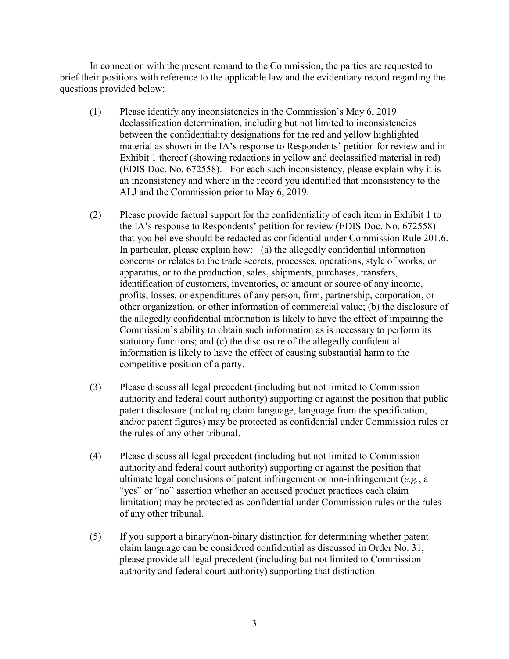In connection with the present remand to the Commission, the parties are requested to brief their positions with reference to the applicable law and the evidentiary record regarding the questions provided below:

- (1) Please identify any inconsistencies in the Commission's May 6, 2019 declassification determination, including but not limited to inconsistencies between the confidentiality designations for the red and yellow highlighted material as shown in the IA's response to Respondents' petition for review and in Exhibit 1 thereof (showing redactions in yellow and declassified material in red) (EDIS Doc. No. 672558). For each such inconsistency, please explain why it is an inconsistency and where in the record you identified that inconsistency to the ALJ and the Commission prior to May 6, 2019.
- (2) Please provide factual support for the confidentiality of each item in Exhibit 1 to the IA's response to Respondents' petition for review (EDIS Doc. No. 672558) that you believe should be redacted as confidential under Commission Rule 201.6. In particular, please explain how: (a) the allegedly confidential information concerns or relates to the trade secrets, processes, operations, style of works, or apparatus, or to the production, sales, shipments, purchases, transfers, identification of customers, inventories, or amount or source of any income, profits, losses, or expenditures of any person, firm, partnership, corporation, or other organization, or other information of commercial value; (b) the disclosure of the allegedly confidential information is likely to have the effect of impairing the Commission's ability to obtain such information as is necessary to perform its statutory functions; and (c) the disclosure of the allegedly confidential information is likely to have the effect of causing substantial harm to the competitive position of a party.
- (3) Please discuss all legal precedent (including but not limited to Commission authority and federal court authority) supporting or against the position that public patent disclosure (including claim language, language from the specification, and/or patent figures) may be protected as confidential under Commission rules or the rules of any other tribunal.
- (4) Please discuss all legal precedent (including but not limited to Commission authority and federal court authority) supporting or against the position that ultimate legal conclusions of patent infringement or non-infringement (*e.g.*, a "yes" or "no" assertion whether an accused product practices each claim limitation) may be protected as confidential under Commission rules or the rules of any other tribunal.
- (5) If you support a binary/non-binary distinction for determining whether patent claim language can be considered confidential as discussed in Order No. 31, please provide all legal precedent (including but not limited to Commission authority and federal court authority) supporting that distinction.